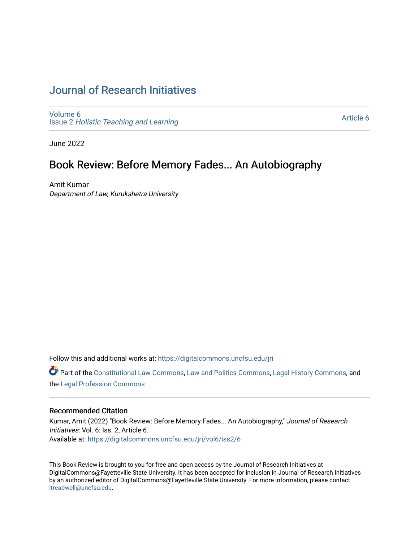# [Journal of Research Initiatives](https://digitalcommons.uncfsu.edu/jri)

[Volume 6](https://digitalcommons.uncfsu.edu/jri/vol6) Issue 2 [Holistic Teaching and Learning](https://digitalcommons.uncfsu.edu/jri/vol6/iss2)

[Article 6](https://digitalcommons.uncfsu.edu/jri/vol6/iss2/6) 

June 2022

# Book Review: Before Memory Fades... An Autobiography

Amit Kumar Department of Law, Kurukshetra University

Follow this and additional works at: [https://digitalcommons.uncfsu.edu/jri](https://digitalcommons.uncfsu.edu/jri?utm_source=digitalcommons.uncfsu.edu%2Fjri%2Fvol6%2Fiss2%2F6&utm_medium=PDF&utm_campaign=PDFCoverPages) 

Part of the [Constitutional Law Commons,](https://network.bepress.com/hgg/discipline/589?utm_source=digitalcommons.uncfsu.edu%2Fjri%2Fvol6%2Fiss2%2F6&utm_medium=PDF&utm_campaign=PDFCoverPages) [Law and Politics Commons,](https://network.bepress.com/hgg/discipline/867?utm_source=digitalcommons.uncfsu.edu%2Fjri%2Fvol6%2Fiss2%2F6&utm_medium=PDF&utm_campaign=PDFCoverPages) [Legal History Commons](https://network.bepress.com/hgg/discipline/904?utm_source=digitalcommons.uncfsu.edu%2Fjri%2Fvol6%2Fiss2%2F6&utm_medium=PDF&utm_campaign=PDFCoverPages), and the [Legal Profession Commons](https://network.bepress.com/hgg/discipline/1075?utm_source=digitalcommons.uncfsu.edu%2Fjri%2Fvol6%2Fiss2%2F6&utm_medium=PDF&utm_campaign=PDFCoverPages) 

### Recommended Citation

Kumar, Amit (2022) "Book Review: Before Memory Fades... An Autobiography," Journal of Research Initiatives: Vol. 6: Iss. 2, Article 6. Available at: [https://digitalcommons.uncfsu.edu/jri/vol6/iss2/6](https://digitalcommons.uncfsu.edu/jri/vol6/iss2/6?utm_source=digitalcommons.uncfsu.edu%2Fjri%2Fvol6%2Fiss2%2F6&utm_medium=PDF&utm_campaign=PDFCoverPages) 

This Book Review is brought to you for free and open access by the Journal of Research Initiatives at DigitalCommons@Fayetteville State University. It has been accepted for inclusion in Journal of Research Initiatives by an authorized editor of DigitalCommons@Fayetteville State University. For more information, please contact [ltreadwell@uncfsu.edu](mailto:ltreadwell@uncfsu.edu).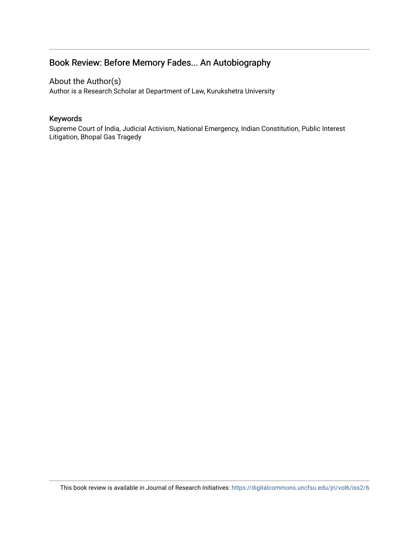# Book Review: Before Memory Fades... An Autobiography

## About the Author(s)

Author is a Research Scholar at Department of Law, Kurukshetra University

## Keywords

Supreme Court of India, Judicial Activism, National Emergency, Indian Constitution, Public Interest Litigation, Bhopal Gas Tragedy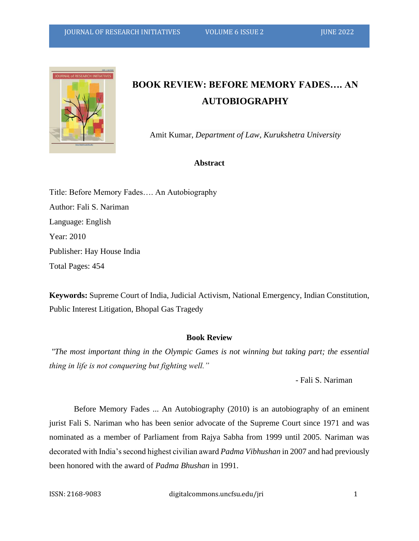

# **BOOK REVIEW: BEFORE MEMORY FADES…. AN AUTOBIOGRAPHY**

Amit Kumar, *Department of Law, Kurukshetra University* 

### **Abstract**

Title: Before Memory Fades…. An Autobiography Author: Fali S. Nariman Language: English Year: 2010 Publisher: Hay House India Total Pages: 454

**Keywords:** Supreme Court of India, Judicial Activism, National Emergency, Indian Constitution, Public Interest Litigation, Bhopal Gas Tragedy

#### **Book Review**

*"The most important thing in the Olympic Games is not winning but taking part; the essential thing in life is not conquering but fighting well."* 

- Fali S. Nariman

Before Memory Fades ... An Autobiography (2010) is an autobiography of an eminent jurist Fali S. Nariman who has been senior advocate of the Supreme Court since 1971 and was nominated as a member of Parliament from Rajya Sabha from 1999 until 2005. Nariman was decorated with India's second highest civilian award *Padma Vibhushan* in 2007 and had previously been honored with the award of *Padma Bhushan* in 1991.

ISSN: 2168-9083 digitalcommons.uncfsu.edu/jri 1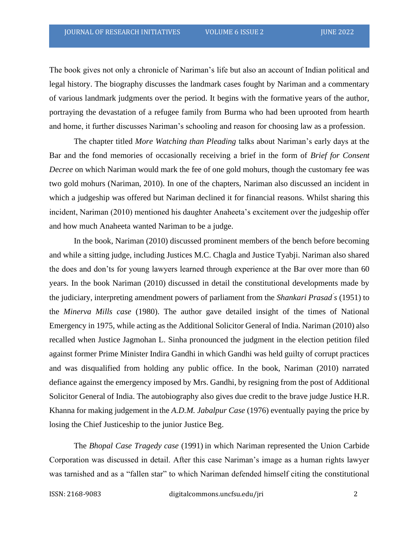The book gives not only a chronicle of Nariman's life but also an account of Indian political and legal history. The biography discusses the landmark cases fought by Nariman and a commentary of various landmark judgments over the period. It begins with the formative years of the author, portraying the devastation of a refugee family from Burma who had been uprooted from hearth and home, it further discusses Nariman's schooling and reason for choosing law as a profession.

The chapter titled *More Watching than Pleading* talks about Nariman's early days at the Bar and the fond memories of occasionally receiving a brief in the form of *Brief for Consent Decree* on which Nariman would mark the fee of one gold mohurs, though the customary fee was two gold mohurs (Nariman, 2010). In one of the chapters, Nariman also discussed an incident in which a judgeship was offered but Nariman declined it for financial reasons. Whilst sharing this incident, Nariman (2010) mentioned his daughter Anaheeta's excitement over the judgeship offer and how much Anaheeta wanted Nariman to be a judge.

In the book, Nariman (2010) discussed prominent members of the bench before becoming and while a sitting judge, including Justices M.C. Chagla and Justice Tyabji. Nariman also shared the does and don'ts for young lawyers learned through experience at the Bar over more than 60 years. In the book Nariman (2010) discussed in detail the constitutional developments made by the judiciary, interpreting amendment powers of parliament from the *Shankari Prasad' s* (1951) to the *Minerva Mills case* (1980). The author gave detailed insight of the times of National Emergency in 1975, while acting as the Additional Solicitor General of India. Nariman (2010) also recalled when Justice Jagmohan L. Sinha pronounced the judgment in the election petition filed against former Prime Minister Indira Gandhi in which Gandhi was held guilty of corrupt practices and was disqualified from holding any public office. In the book, Nariman (2010) narrated defiance against the emergency imposed by Mrs. Gandhi, by resigning from the post of Additional Solicitor General of India. The autobiography also gives due credit to the brave judge Justice H.R. Khanna for making judgement in the *A.D.M. Jabalpur Case* (1976) eventually paying the price by losing the Chief Justiceship to the junior Justice Beg.

The *Bhopal Case Tragedy case* (1991) in which Nariman represented the Union Carbide Corporation was discussed in detail. After this case Nariman's image as a human rights lawyer was tarnished and as a "fallen star" to which Nariman defended himself citing the constitutional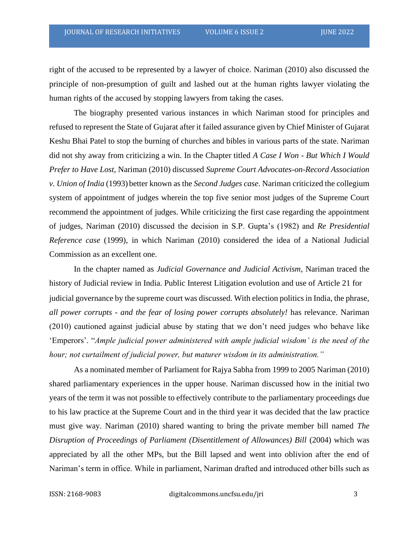right of the accused to be represented by a lawyer of choice. Nariman (2010) also discussed the principle of non-presumption of guilt and lashed out at the human rights lawyer violating the human rights of the accused by stopping lawyers from taking the cases.

The biography presented various instances in which Nariman stood for principles and refused to represent the State of Gujarat after it failed assurance given by Chief Minister of Gujarat Keshu Bhai Patel to stop the burning of churches and bibles in various parts of the state. Nariman did not shy away from criticizing a win. In the Chapter titled *A Case I Won - But Which I Would Prefer to Have Lost*, Nariman (2010) discussed *Supreme Court Advocates-on-Record Association v. Union of India* (1993) better known as the *Second Judges case*. Nariman criticized the collegium system of appointment of judges wherein the top five senior most judges of the Supreme Court recommend the appointment of judges. While criticizing the first case regarding the appointment of judges, Nariman (2010) discussed the decision in S.P. Gupta's (1982) and *Re Presidential Reference case* (1999), in which Nariman (2010) considered the idea of a National Judicial Commission as an excellent one.

In the chapter named as *Judicial Governance and Judicial Activism*, Nariman traced the history of Judicial review in India. Public Interest Litigation evolution and use of Article 21 for judicial governance by the supreme court was discussed. With election politics in India, the phrase, *all power corrupts - and the fear of losing power corrupts absolutely!* has relevance. Nariman (2010) cautioned against judicial abuse by stating that we don't need judges who behave like 'Emperors'. "*Ample judicial power administered with ample judicial wisdom' is the need of the hour; not curtailment of judicial power, but maturer wisdom in its administration."* 

As a nominated member of Parliament for Rajya Sabha from 1999 to 2005 Nariman (2010) shared parliamentary experiences in the upper house. Nariman discussed how in the initial two years of the term it was not possible to effectively contribute to the parliamentary proceedings due to his law practice at the Supreme Court and in the third year it was decided that the law practice must give way. Nariman (2010) shared wanting to bring the private member bill named *The Disruption of Proceedings of Parliament (Disentitlement of Allowances) Bill (2004)* which was appreciated by all the other MPs, but the Bill lapsed and went into oblivion after the end of Nariman's term in office. While in parliament, Nariman drafted and introduced other bills such as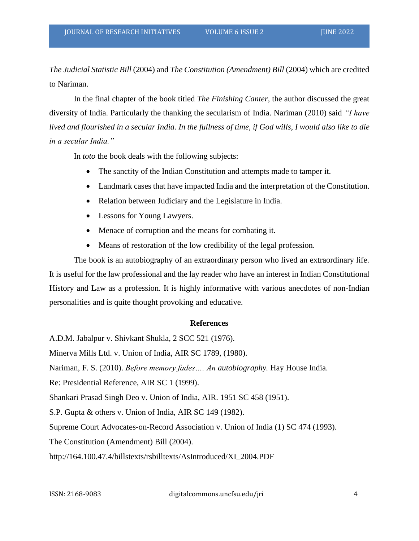*The Judicial Statistic Bill* (2004) and *The Constitution (Amendment) Bill* (2004) which are credited to Nariman.

In the final chapter of the book titled *The Finishing Canter*, the author discussed the great diversity of India. Particularly the thanking the secularism of India. Nariman (2010) said *"I have lived and flourished in a secular India. In the fullness of time, if God wills, I would also like to die in a secular India."*

In *toto* the book deals with the following subjects:

- The sanctity of the Indian Constitution and attempts made to tamper it.
- Landmark cases that have impacted India and the interpretation of the Constitution.
- Relation between Judiciary and the Legislature in India.
- Lessons for Young Lawyers.
- Menace of corruption and the means for combating it.
- Means of restoration of the low credibility of the legal profession.

The book is an autobiography of an extraordinary person who lived an extraordinary life. It is useful for the law professional and the lay reader who have an interest in Indian Constitutional History and Law as a profession. It is highly informative with various anecdotes of non-Indian personalities and is quite thought provoking and educative.

#### **References**

A.D.M. Jabalpur v. Shivkant Shukla, 2 SCC 521 (1976).

Minerva Mills Ltd. v. Union of India, AIR SC 1789, (1980).

Nariman, F. S. (2010). *Before memory fades…. An autobiography.* Hay House India.

Re: Presidential Reference, AIR SC 1 (1999).

Shankari Prasad Singh Deo v. Union of India, AIR. 1951 SC 458 (1951).

S.P. Gupta & others v. Union of India, AIR SC 149 (1982).

Supreme Court Advocates-on-Record Association v. Union of India (1) SC 474 (1993).

The Constitution (Amendment) Bill (2004).

http://164.100.47.4/billstexts/rsbilltexts/AsIntroduced/XI\_2004.PDF